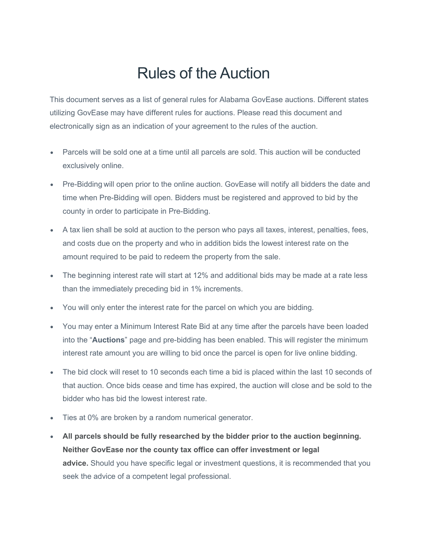## Rules of the Auction

This document serves as a list of general rules for Alabama GovEase auctions. Different states utilizing GovEase may have different rules for auctions. Please read this document and electronically sign as an indication of your agreement to the rules of the auction.

- Parcels will be sold one at a time until all parcels are sold. This auction will be conducted exclusively online.
- Pre-Bidding will open prior to the online auction. GovEase will notify all bidders the date and time when Pre-Bidding will open. Bidders must be registered and approved to bid by the county in order to participate in Pre-Bidding.
- A tax lien shall be sold at auction to the person who pays all taxes, interest, penalties, fees, and costs due on the property and who in addition bids the lowest interest rate on the amount required to be paid to redeem the property from the sale.
- The beginning interest rate will start at 12% and additional bids may be made at a rate less than the immediately preceding bid in 1% increments.
- You will only enter the interest rate for the parcel on which you are bidding.
- You may enter a Minimum Interest Rate Bid at any time after the parcels have been loaded into the "**Auctions**" page and pre-bidding has been enabled. This will register the minimum interest rate amount you are willing to bid once the parcel is open for live online bidding.
- The bid clock will reset to 10 seconds each time a bid is placed within the last 10 seconds of that auction. Once bids cease and time has expired, the auction will close and be sold to the bidder who has bid the lowest interest rate.
- Ties at 0% are broken by a random numerical generator.
- **All parcels should be fully researched by the bidder prior to the auction beginning. Neither GovEase nor the county tax office can offer investment or legal advice.** Should you have specific legal or investment questions, it is recommended that you seek the advice of a competent legal professional.